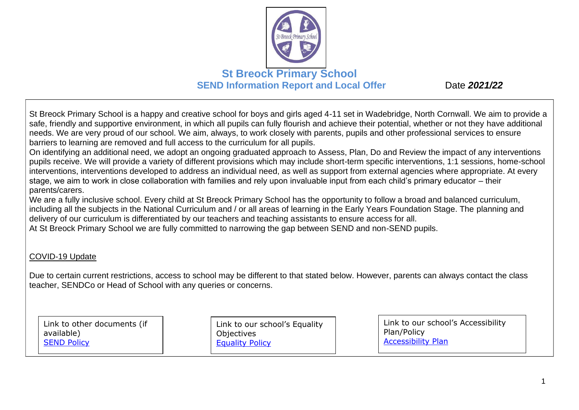

St Breock Primary School is a happy and creative school for boys and girls aged 4-11 set in Wadebridge, North Cornwall. We aim to provide a safe, friendly and supportive environment, in which all pupils can fully flourish and achieve their potential, whether or not they have additional needs. We are very proud of our school. We aim, always, to work closely with parents, pupils and other professional services to ensure barriers to learning are removed and full access to the curriculum for all pupils.

On identifying an additional need, we adopt an ongoing graduated approach to Assess, Plan, Do and Review the impact of any interventions pupils receive. We will provide a variety of different provisions which may include short-term specific interventions, 1:1 sessions, home-school interventions, interventions developed to address an individual need, as well as support from external agencies where appropriate. At every stage, we aim to work in close collaboration with families and rely upon invaluable input from each child's primary educator – their parents/carers.

We are a fully inclusive school. Every child at St Breock Primary School has the opportunity to follow a broad and balanced curriculum, including all the subjects in the National Curriculum and / or all areas of learning in the Early Years Foundation Stage. The planning and delivery of our curriculum is differentiated by our teachers and teaching assistants to ensure access for all.

At St Breock Primary School we are fully committed to narrowing the gap between SEND and non-SEND pupils.

#### COVID-19 Update

Due to certain current restrictions, access to school may be different to that stated below. However, parents can always contact the class teacher, SENDCo or Head of School with any queries or concerns.

Link to other documents (if available) **[SEND Policy](https://4905753ff3cea231a868-376d75cd2890937de6f542499f88a819.ssl.cf3.rackcdn.com/aspiretrust/uploads/key_information/Aspire-SEN-Policy.pdf?ts=1542368703654)** 

Link to our school's Equality **Objectives** [Equality Policy](https://4905753ff3cea231a868-376d75cd2890937de6f542499f88a819.ssl.cf3.rackcdn.com/aspiretrust/uploads/key_information/Aspire-Equality-Information-and-Objectives-Policy.pdf?ts=1543492439956)

Link to our school's Accessibility Plan/Policy [Accessibility Plan](https://www.stbreock.org.uk/storage/secure_download/azF0U0Q4Y3FTazJhQ2M3dTZqdHlRQT09)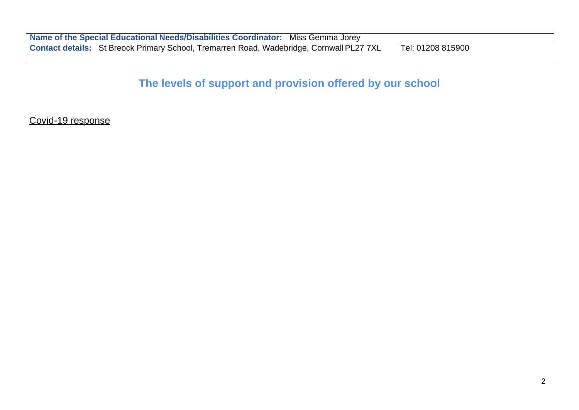**Name of the Special Educational Needs/Disabilities Coordinator:** Miss Gemma Jorey **Contact details:** St Breock Primary School, Tremarren Road, Wadebridge, Cornwall PL27 7XL Tel: 01208 815900

## **The levels of support and provision offered by our school**

Covid-19 response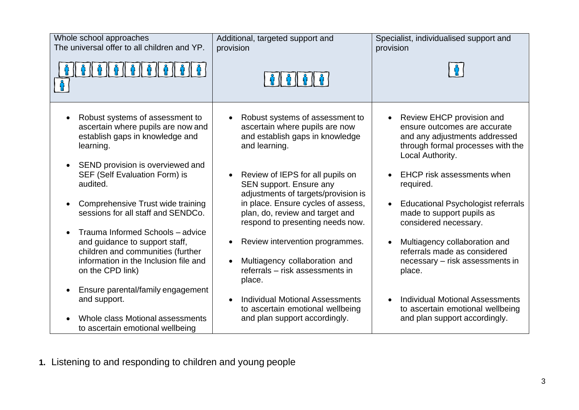| Whole school approaches<br>The universal offer to all children and YP.                                                                                                            | Additional, targeted support and<br>provision                                                                                      | Specialist, individualised support and<br>provision                                                                                                 |
|-----------------------------------------------------------------------------------------------------------------------------------------------------------------------------------|------------------------------------------------------------------------------------------------------------------------------------|-----------------------------------------------------------------------------------------------------------------------------------------------------|
| $\frac{1}{2}$ $\frac{1}{2}$ $\frac{1}{2}$ $\frac{1}{2}$ $\frac{1}{2}$ $\frac{1}{2}$ $\frac{1}{2}$                                                                                 |                                                                                                                                    |                                                                                                                                                     |
| Robust systems of assessment to<br>$\bullet$<br>ascertain where pupils are now and<br>establish gaps in knowledge and<br>learning.                                                | Robust systems of assessment to<br>$\bullet$<br>ascertain where pupils are now<br>and establish gaps in knowledge<br>and learning. | Review EHCP provision and<br>ensure outcomes are accurate<br>and any adjustments addressed<br>through formal processes with the<br>Local Authority. |
| SEND provision is overviewed and<br>$\bullet$<br>SEF (Self Evaluation Form) is<br>audited.                                                                                        | Review of IEPS for all pupils on<br>SEN support. Ensure any<br>adjustments of targets/provision is                                 | <b>EHCP</b> risk assessments when<br>required.                                                                                                      |
| Comprehensive Trust wide training<br>$\bullet$<br>sessions for all staff and SENDCo.                                                                                              | in place. Ensure cycles of assess,<br>plan, do, review and target and<br>respond to presenting needs now.                          | <b>Educational Psychologist referrals</b><br>made to support pupils as<br>considered necessary.                                                     |
| Trauma Informed Schools - advice<br>$\bullet$<br>and guidance to support staff,<br>children and communities (further<br>information in the Inclusion file and<br>on the CPD link) | Review intervention programmes.<br>Multiagency collaboration and<br>referrals - risk assessments in<br>place.                      | Multiagency collaboration and<br>referrals made as considered<br>necessary - risk assessments in<br>place.                                          |
| Ensure parental/family engagement<br>$\bullet$<br>and support.<br>Whole class Motional assessments<br>to ascertain emotional wellbeing                                            | <b>Individual Motional Assessments</b><br>to ascertain emotional wellbeing<br>and plan support accordingly.                        | <b>Individual Motional Assessments</b><br>to ascertain emotional wellbeing<br>and plan support accordingly.                                         |

**1.** Listening to and responding to children and young people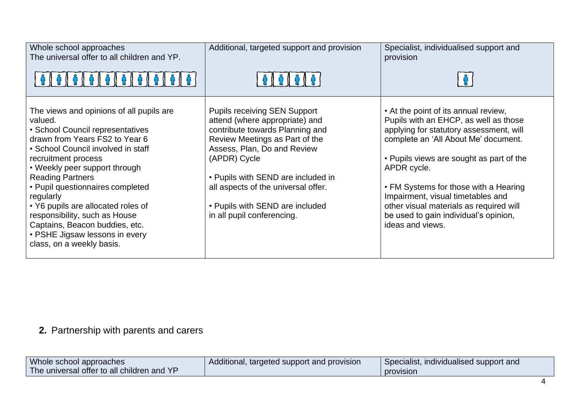| Whole school approaches<br>The universal offer to all children and YP.                                                                                                                                                                                                                                                                                                                                                                                                      | Additional, targeted support and provision                                                                                                                                                                                                                                                                                              | Specialist, individualised support and<br>provision                                                                                                                                                                                                                                                                                                                                                               |
|-----------------------------------------------------------------------------------------------------------------------------------------------------------------------------------------------------------------------------------------------------------------------------------------------------------------------------------------------------------------------------------------------------------------------------------------------------------------------------|-----------------------------------------------------------------------------------------------------------------------------------------------------------------------------------------------------------------------------------------------------------------------------------------------------------------------------------------|-------------------------------------------------------------------------------------------------------------------------------------------------------------------------------------------------------------------------------------------------------------------------------------------------------------------------------------------------------------------------------------------------------------------|
|                                                                                                                                                                                                                                                                                                                                                                                                                                                                             |                                                                                                                                                                                                                                                                                                                                         |                                                                                                                                                                                                                                                                                                                                                                                                                   |
| The views and opinions of all pupils are<br>valued.<br>· School Council representatives<br>drawn from Years FS2 to Year 6<br>• School Council involved in staff<br>recruitment process<br>• Weekly peer support through<br><b>Reading Partners</b><br>• Pupil questionnaires completed<br>regularly<br>• Y6 pupils are allocated roles of<br>responsibility, such as House<br>Captains, Beacon buddies, etc.<br>• PSHE Jigsaw lessons in every<br>class, on a weekly basis. | <b>Pupils receiving SEN Support</b><br>attend (where appropriate) and<br>contribute towards Planning and<br>Review Meetings as Part of the<br>Assess, Plan, Do and Review<br>(APDR) Cycle<br>• Pupils with SEND are included in<br>all aspects of the universal offer.<br>• Pupils with SEND are included<br>in all pupil conferencing. | • At the point of its annual review,<br>Pupils with an EHCP, as well as those<br>applying for statutory assessment, will<br>complete an 'All About Me' document.<br>• Pupils views are sought as part of the<br>APDR cycle.<br>• FM Systems for those with a Hearing<br>Impairment, visual timetables and<br>other visual materials as required will<br>be used to gain individual's opinion,<br>ideas and views. |

# **2.** Partnership with parents and carers

| Whole school approaches                    | Additional, targeted support and provision | Specialist, individualised support and |
|--------------------------------------------|--------------------------------------------|----------------------------------------|
| The universal offer to all children and YP |                                            | provision                              |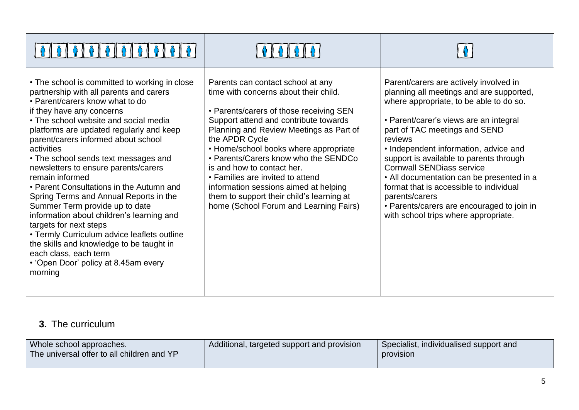| • The school is committed to working in close<br>partnership with all parents and carers<br>• Parent/carers know what to do<br>if they have any concerns<br>• The school website and social media<br>platforms are updated regularly and keep<br>parent/carers informed about school<br>activities<br>• The school sends text messages and<br>newsletters to ensure parents/carers<br>remain informed<br>• Parent Consultations in the Autumn and<br>Spring Terms and Annual Reports in the<br>Summer Term provide up to date<br>information about children's learning and<br>targets for next steps<br>• Termly Curriculum advice leaflets outline<br>the skills and knowledge to be taught in<br>each class, each term<br>• 'Open Door' policy at 8.45am every<br>morning | Parents can contact school at any<br>time with concerns about their child.<br>• Parents/carers of those receiving SEN<br>Support attend and contribute towards<br>Planning and Review Meetings as Part of<br>the APDR Cycle<br>• Home/school books where appropriate<br>• Parents/Carers know who the SENDCo<br>is and how to contact her.<br>• Families are invited to attend<br>information sessions aimed at helping<br>them to support their child's learning at<br>home (School Forum and Learning Fairs) | Parent/carers are actively involved in<br>planning all meetings and are supported,<br>where appropriate, to be able to do so.<br>• Parent/carer's views are an integral<br>part of TAC meetings and SEND<br>reviews<br>• Independent information, advice and<br>support is available to parents through<br><b>Cornwall SENDiass service</b><br>• All documentation can be presented in a<br>format that is accessible to individual<br>parents/carers<br>• Parents/carers are encouraged to join in<br>with school trips where appropriate. |
|-----------------------------------------------------------------------------------------------------------------------------------------------------------------------------------------------------------------------------------------------------------------------------------------------------------------------------------------------------------------------------------------------------------------------------------------------------------------------------------------------------------------------------------------------------------------------------------------------------------------------------------------------------------------------------------------------------------------------------------------------------------------------------|----------------------------------------------------------------------------------------------------------------------------------------------------------------------------------------------------------------------------------------------------------------------------------------------------------------------------------------------------------------------------------------------------------------------------------------------------------------------------------------------------------------|---------------------------------------------------------------------------------------------------------------------------------------------------------------------------------------------------------------------------------------------------------------------------------------------------------------------------------------------------------------------------------------------------------------------------------------------------------------------------------------------------------------------------------------------|

## **3.** The curriculum

| Whole school approaches.<br>The universal offer to all children and YP | Additional, targeted support and provision | Specialist, individualised support and<br>provision |
|------------------------------------------------------------------------|--------------------------------------------|-----------------------------------------------------|
|                                                                        |                                            |                                                     |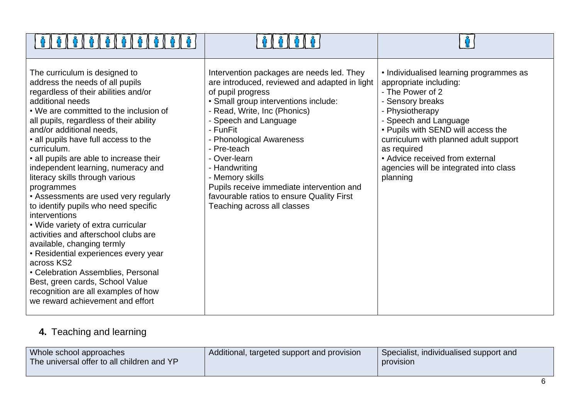| The curriculum is designed to<br>address the needs of all pupils<br>regardless of their abilities and/or<br>additional needs<br>• We are committed to the inclusion of<br>all pupils, regardless of their ability<br>and/or additional needs,<br>• all pupils have full access to the<br>curriculum.<br>• all pupils are able to increase their<br>independent learning, numeracy and<br>literacy skills through various<br>programmes<br>• Assessments are used very regularly<br>to identify pupils who need specific<br>interventions<br>• Wide variety of extra curricular<br>activities and afterschool clubs are<br>available, changing termly<br>• Residential experiences every year<br>across KS2<br>• Celebration Assemblies, Personal<br>Best, green cards, School Value<br>recognition are all examples of how<br>we reward achievement and effort | Intervention packages are needs led. They<br>are introduced, reviewed and adapted in light<br>of pupil progress<br>· Small group interventions include:<br>- Read, Write, Inc (Phonics)<br>Speech and Language<br>- FunFit<br>- Phonological Awareness<br>- Pre-teach<br>- Over-learn<br>- Handwriting<br>- Memory skills<br>Pupils receive immediate intervention and<br>favourable ratios to ensure Quality First<br>Teaching across all classes | • Individualised learning programmes as<br>appropriate including:<br>- The Power of 2<br>- Sensory breaks<br>- Physiotherapy<br>- Speech and Language<br>• Pupils with SEND will access the<br>curriculum with planned adult support<br>as required<br>• Advice received from external<br>agencies will be integrated into class<br>planning |
|----------------------------------------------------------------------------------------------------------------------------------------------------------------------------------------------------------------------------------------------------------------------------------------------------------------------------------------------------------------------------------------------------------------------------------------------------------------------------------------------------------------------------------------------------------------------------------------------------------------------------------------------------------------------------------------------------------------------------------------------------------------------------------------------------------------------------------------------------------------|----------------------------------------------------------------------------------------------------------------------------------------------------------------------------------------------------------------------------------------------------------------------------------------------------------------------------------------------------------------------------------------------------------------------------------------------------|----------------------------------------------------------------------------------------------------------------------------------------------------------------------------------------------------------------------------------------------------------------------------------------------------------------------------------------------|

# **4.** Teaching and learning

| Whole school approaches<br>The universal offer to all children and YP | Additional, targeted support and provision | Specialist, individualised support and<br>provision |
|-----------------------------------------------------------------------|--------------------------------------------|-----------------------------------------------------|
|                                                                       |                                            |                                                     |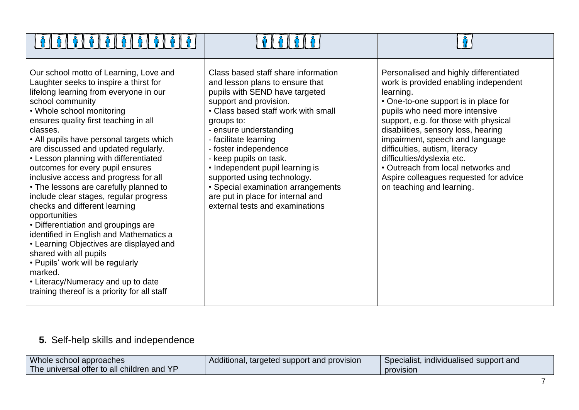| Our school motto of Learning, Love and<br>Laughter seeks to inspire a thirst for<br>lifelong learning from everyone in our<br>school community<br>• Whole school monitoring<br>ensures quality first teaching in all<br>classes.<br>• All pupils have personal targets which<br>are discussed and updated regularly.<br>• Lesson planning with differentiated<br>outcomes for every pupil ensures<br>inclusive access and progress for all<br>• The lessons are carefully planned to<br>include clear stages, regular progress<br>checks and different learning<br>opportunities<br>• Differentiation and groupings are<br>identified in English and Mathematics a<br>• Learning Objectives are displayed and<br>shared with all pupils<br>• Pupils' work will be regularly<br>marked.<br>• Literacy/Numeracy and up to date<br>training thereof is a priority for all staff | Class based staff share information<br>and lesson plans to ensure that<br>pupils with SEND have targeted<br>support and provision.<br>• Class based staff work with small<br>groups to:<br>- ensure understanding<br>- facilitate learning<br>- foster independence<br>- keep pupils on task.<br>• Independent pupil learning is<br>supported using technology.<br>• Special examination arrangements<br>are put in place for internal and<br>external tests and examinations | Personalised and highly differentiated<br>work is provided enabling independent<br>learning.<br>• One-to-one support is in place for<br>pupils who need more intensive<br>support, e.g. for those with physical<br>disabilities, sensory loss, hearing<br>impairment, speech and language<br>difficulties, autism, literacy<br>difficulties/dyslexia etc.<br>• Outreach from local networks and<br>Aspire colleagues requested for advice<br>on teaching and learning. |
|------------------------------------------------------------------------------------------------------------------------------------------------------------------------------------------------------------------------------------------------------------------------------------------------------------------------------------------------------------------------------------------------------------------------------------------------------------------------------------------------------------------------------------------------------------------------------------------------------------------------------------------------------------------------------------------------------------------------------------------------------------------------------------------------------------------------------------------------------------------------------|-------------------------------------------------------------------------------------------------------------------------------------------------------------------------------------------------------------------------------------------------------------------------------------------------------------------------------------------------------------------------------------------------------------------------------------------------------------------------------|------------------------------------------------------------------------------------------------------------------------------------------------------------------------------------------------------------------------------------------------------------------------------------------------------------------------------------------------------------------------------------------------------------------------------------------------------------------------|

# **5.** Self-help skills and independence

والمتسامح المتسامح المتسامح المتسامح المتسامح المناسب

| Whole school approaches                    | Additional, targeted support and provision | Specialist, individualised support and |
|--------------------------------------------|--------------------------------------------|----------------------------------------|
| The universal offer to all children and YP |                                            | <b>provision</b>                       |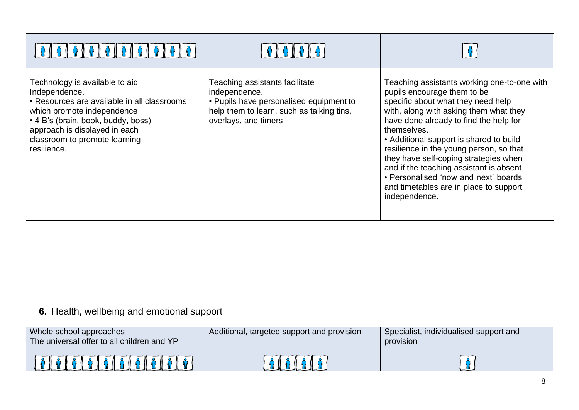| <b>፡ በ ଜ በ ଜ በ ଜ በ ଜ</b>                                                                                                                                                                                                                            |                                                                                                                                                                 |                                                                                                                                                                                                                                                                                                                                                                                                                                                                                                  |
|-----------------------------------------------------------------------------------------------------------------------------------------------------------------------------------------------------------------------------------------------------|-----------------------------------------------------------------------------------------------------------------------------------------------------------------|--------------------------------------------------------------------------------------------------------------------------------------------------------------------------------------------------------------------------------------------------------------------------------------------------------------------------------------------------------------------------------------------------------------------------------------------------------------------------------------------------|
| Technology is available to aid<br>Independence.<br>• Resources are available in all classrooms<br>which promote independence<br>• 4 B's (brain, book, buddy, boss)<br>approach is displayed in each<br>classroom to promote learning<br>resilience. | Teaching assistants facilitate<br>independence.<br>• Pupils have personalised equipment to<br>help them to learn, such as talking tins,<br>overlays, and timers | Teaching assistants working one-to-one with<br>pupils encourage them to be<br>specific about what they need help<br>with, along with asking them what they<br>have done already to find the help for<br>themselves.<br>• Additional support is shared to build<br>resilience in the young person, so that<br>they have self-coping strategies when<br>and if the teaching assistant is absent<br>• Personalised 'now and next' boards<br>and timetables are in place to support<br>independence. |

### **6.** Health, wellbeing and emotional support

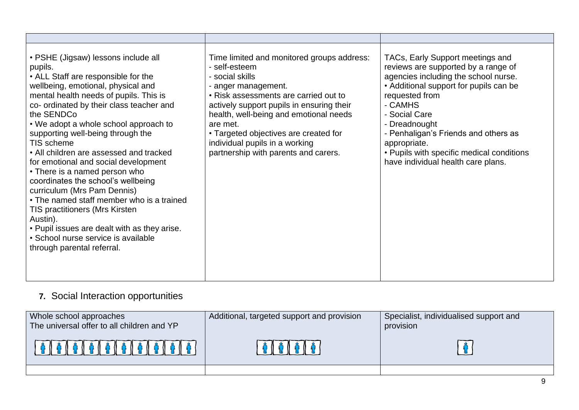| • PSHE (Jigsaw) lessons include all<br>pupils.<br>• ALL Staff are responsible for the<br>wellbeing, emotional, physical and<br>mental health needs of pupils. This is<br>co- ordinated by their class teacher and<br>the SENDCo<br>• We adopt a whole school approach to<br>supporting well-being through the<br>TIS scheme<br>• All children are assessed and tracked<br>for emotional and social development<br>• There is a named person who<br>coordinates the school's wellbeing<br>curriculum (Mrs Pam Dennis)<br>• The named staff member who is a trained<br><b>TIS practitioners (Mrs Kirsten</b><br>Austin).<br>• Pupil issues are dealt with as they arise.<br>· School nurse service is available<br>through parental referral. | Time limited and monitored groups address:<br>- self-esteem<br>- social skills<br>anger management.<br>• Risk assessments are carried out to<br>actively support pupils in ensuring their<br>health, well-being and emotional needs<br>are met.<br>• Targeted objectives are created for<br>individual pupils in a working<br>partnership with parents and carers. | TACs, Early Support meetings and<br>reviews are supported by a range of<br>agencies including the school nurse.<br>• Additional support for pupils can be<br>requested from<br>- CAMHS<br>- Social Care<br>- Dreadnought<br>- Penhaligan's Friends and others as<br>appropriate.<br>• Pupils with specific medical conditions<br>have individual health care plans. |
|---------------------------------------------------------------------------------------------------------------------------------------------------------------------------------------------------------------------------------------------------------------------------------------------------------------------------------------------------------------------------------------------------------------------------------------------------------------------------------------------------------------------------------------------------------------------------------------------------------------------------------------------------------------------------------------------------------------------------------------------|--------------------------------------------------------------------------------------------------------------------------------------------------------------------------------------------------------------------------------------------------------------------------------------------------------------------------------------------------------------------|---------------------------------------------------------------------------------------------------------------------------------------------------------------------------------------------------------------------------------------------------------------------------------------------------------------------------------------------------------------------|

## **7.** Social Interaction opportunities

| Whole school approaches<br>The universal offer to all children and YP | Additional, targeted support and provision | Specialist, individualised support and<br>provision |
|-----------------------------------------------------------------------|--------------------------------------------|-----------------------------------------------------|
|                                                                       | $\bullet$ () $\bullet$ () $\bullet$        |                                                     |
|                                                                       |                                            |                                                     |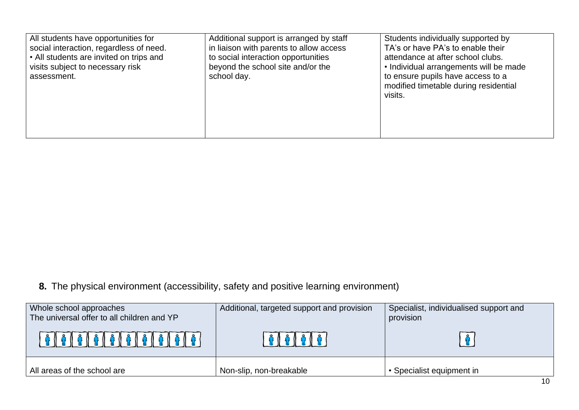| All students have opportunities for<br>social interaction, regardless of need.<br>• All students are invited on trips and<br>visits subject to necessary risk<br>school day.<br>assessment. | Additional support is arranged by staff<br>in liaison with parents to allow access<br>to social interaction opportunities<br>beyond the school site and/or the | Students individually supported by<br>TA's or have PA's to enable their<br>attendance at after school clubs.<br>• Individual arrangements will be made<br>to ensure pupils have access to a<br>modified timetable during residential<br>visits. |
|---------------------------------------------------------------------------------------------------------------------------------------------------------------------------------------------|----------------------------------------------------------------------------------------------------------------------------------------------------------------|-------------------------------------------------------------------------------------------------------------------------------------------------------------------------------------------------------------------------------------------------|
|---------------------------------------------------------------------------------------------------------------------------------------------------------------------------------------------|----------------------------------------------------------------------------------------------------------------------------------------------------------------|-------------------------------------------------------------------------------------------------------------------------------------------------------------------------------------------------------------------------------------------------|

**8.** The physical environment (accessibility, safety and positive learning environment)

| Whole school approaches<br>The universal offer to all children and YP | Additional, targeted support and provision | Specialist, individualised support and<br>provision |
|-----------------------------------------------------------------------|--------------------------------------------|-----------------------------------------------------|
|                                                                       |                                            |                                                     |
| All areas of the school are                                           | Non-slip, non-breakable                    | Specialist equipment in                             |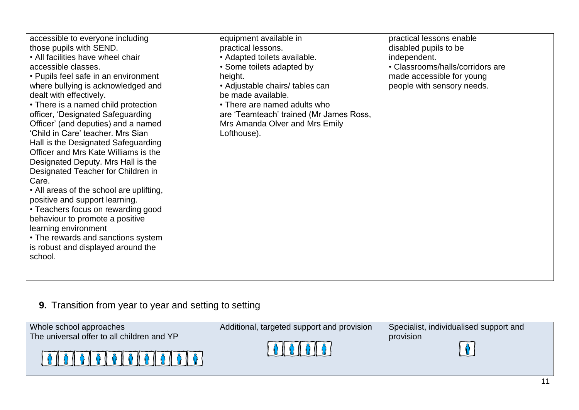| accessible to everyone including<br>those pupils with SEND.<br>• All facilities have wheel chair<br>accessible classes.<br>• Pupils feel safe in an environment<br>where bullying is acknowledged and<br>dealt with effectively.<br>• There is a named child protection<br>officer, 'Designated Safeguarding<br>Officer' (and deputies) and a named<br>'Child in Care' teacher. Mrs Sian<br>Hall is the Designated Safeguarding<br>Officer and Mrs Kate Williams is the<br>Designated Deputy. Mrs Hall is the<br>Designated Teacher for Children in<br>Care.<br>• All areas of the school are uplifting,<br>positive and support learning.<br>• Teachers focus on rewarding good<br>behaviour to promote a positive<br>learning environment<br>• The rewards and sanctions system<br>is robust and displayed around the<br>school. | equipment available in<br>practical lessons.<br>• Adapted toilets available.<br>• Some toilets adapted by<br>height.<br>• Adjustable chairs/ tables can<br>be made available.<br>• There are named adults who<br>are 'Teamteach' trained (Mr James Ross,<br>Mrs Amanda Olver and Mrs Emily<br>Lofthouse). | practical lessons enable<br>disabled pupils to be<br>independent.<br>• Classrooms/halls/corridors are<br>made accessible for young<br>people with sensory needs. |
|------------------------------------------------------------------------------------------------------------------------------------------------------------------------------------------------------------------------------------------------------------------------------------------------------------------------------------------------------------------------------------------------------------------------------------------------------------------------------------------------------------------------------------------------------------------------------------------------------------------------------------------------------------------------------------------------------------------------------------------------------------------------------------------------------------------------------------|-----------------------------------------------------------------------------------------------------------------------------------------------------------------------------------------------------------------------------------------------------------------------------------------------------------|------------------------------------------------------------------------------------------------------------------------------------------------------------------|
|------------------------------------------------------------------------------------------------------------------------------------------------------------------------------------------------------------------------------------------------------------------------------------------------------------------------------------------------------------------------------------------------------------------------------------------------------------------------------------------------------------------------------------------------------------------------------------------------------------------------------------------------------------------------------------------------------------------------------------------------------------------------------------------------------------------------------------|-----------------------------------------------------------------------------------------------------------------------------------------------------------------------------------------------------------------------------------------------------------------------------------------------------------|------------------------------------------------------------------------------------------------------------------------------------------------------------------|

# **9.** Transition from year to year and setting to setting

| Whole school approaches                    | Additional, targeted support and provision                                                                      | Specialist, individualised support and |
|--------------------------------------------|-----------------------------------------------------------------------------------------------------------------|----------------------------------------|
| The universal offer to all children and YP |                                                                                                                 | provision                              |
| 0000000000000                              | $\frac{1}{2}$ $\frac{1}{2}$ $\frac{1}{2}$ $\frac{1}{2}$ $\frac{1}{2}$ $\frac{1}{2}$ $\frac{1}{2}$ $\frac{1}{2}$ |                                        |
|                                            |                                                                                                                 |                                        |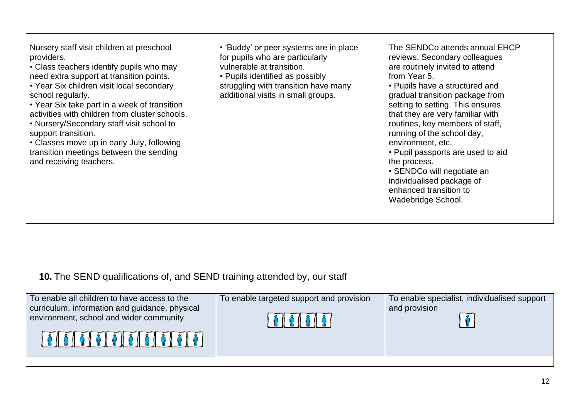| Nursery staff visit children at preschool<br>providers.<br>• Class teachers identify pupils who may<br>need extra support at transition points.<br>• Year Six children visit local secondary<br>school regularly.<br>• Year Six take part in a week of transition<br>activities with children from cluster schools.<br>• Nursery/Secondary staff visit school to<br>support transition.<br>• Classes move up in early July, following<br>transition meetings between the sending<br>and receiving teachers. | • 'Buddy' or peer systems are in place<br>for pupils who are particularly<br>vulnerable at transition.<br>• Pupils identified as possibly<br>struggling with transition have many<br>additional visits in small groups. | The SENDCo attends annual EHCP<br>reviews. Secondary colleagues<br>are routinely invited to attend<br>from Year 5.<br>• Pupils have a structured and<br>gradual transition package from<br>setting to setting. This ensures<br>that they are very familiar with<br>routines, key members of staff,<br>running of the school day,<br>environment, etc.<br>• Pupil passports are used to aid<br>the process.<br>• SENDCo will negotiate an<br>individualised package of<br>enhanced transition to<br>Wadebridge School. |
|-------------------------------------------------------------------------------------------------------------------------------------------------------------------------------------------------------------------------------------------------------------------------------------------------------------------------------------------------------------------------------------------------------------------------------------------------------------------------------------------------------------|-------------------------------------------------------------------------------------------------------------------------------------------------------------------------------------------------------------------------|-----------------------------------------------------------------------------------------------------------------------------------------------------------------------------------------------------------------------------------------------------------------------------------------------------------------------------------------------------------------------------------------------------------------------------------------------------------------------------------------------------------------------|
|-------------------------------------------------------------------------------------------------------------------------------------------------------------------------------------------------------------------------------------------------------------------------------------------------------------------------------------------------------------------------------------------------------------------------------------------------------------------------------------------------------------|-------------------------------------------------------------------------------------------------------------------------------------------------------------------------------------------------------------------------|-----------------------------------------------------------------------------------------------------------------------------------------------------------------------------------------------------------------------------------------------------------------------------------------------------------------------------------------------------------------------------------------------------------------------------------------------------------------------------------------------------------------------|

**10.** The SEND qualifications of, and SEND training attended by, our staff

| To enable all children to have access to the<br>curriculum, information and guidance, physical<br>environment, school and wider community | To enable targeted support and provision | To enable specialist, individualised support<br>and provision |
|-------------------------------------------------------------------------------------------------------------------------------------------|------------------------------------------|---------------------------------------------------------------|
|                                                                                                                                           |                                          |                                                               |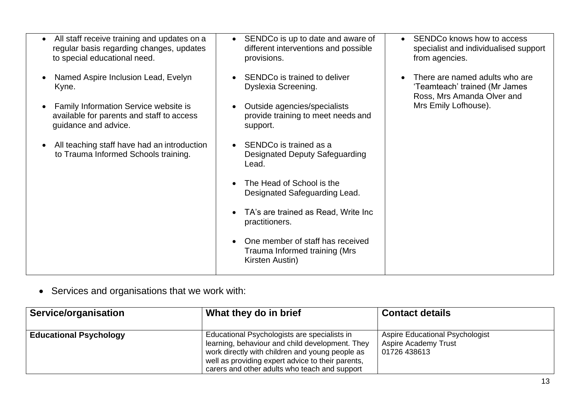| All staff receive training and updates on a                                                                | SENDCo is up to date and aware of                                                    | SENDCo knows how to access                                                                    |
|------------------------------------------------------------------------------------------------------------|--------------------------------------------------------------------------------------|-----------------------------------------------------------------------------------------------|
| regular basis regarding changes, updates<br>to special educational need.                                   | different interventions and possible<br>provisions.                                  | specialist and individualised support<br>from agencies.                                       |
| Named Aspire Inclusion Lead, Evelyn<br>Kyne.                                                               | SENDCo is trained to deliver<br>Dyslexia Screening.                                  | There are named adults who are<br>'Teamteach' trained (Mr James<br>Ross, Mrs Amanda Olver and |
| Family Information Service website is<br>available for parents and staff to access<br>guidance and advice. | Outside agencies/specialists<br>provide training to meet needs and<br>support.       | Mrs Emily Lofhouse).                                                                          |
| All teaching staff have had an introduction<br>to Trauma Informed Schools training.                        | SENDCo is trained as a<br><b>Designated Deputy Safeguarding</b><br>Lead.             |                                                                                               |
|                                                                                                            | The Head of School is the<br>Designated Safeguarding Lead.                           |                                                                                               |
|                                                                                                            | TA's are trained as Read, Write Inc<br>practitioners.                                |                                                                                               |
|                                                                                                            | One member of staff has received<br>Trauma Informed training (Mrs<br>Kirsten Austin) |                                                                                               |

• Services and organisations that we work with:

| Service/organisation          | What they do in brief                                                                                                                                                                                                                                    | <b>Contact details</b>                                                                |
|-------------------------------|----------------------------------------------------------------------------------------------------------------------------------------------------------------------------------------------------------------------------------------------------------|---------------------------------------------------------------------------------------|
| <b>Educational Psychology</b> | Educational Psychologists are specialists in<br>learning, behaviour and child development. They<br>work directly with children and young people as<br>well as providing expert advice to their parents,<br>carers and other adults who teach and support | <b>Aspire Educational Psychologist</b><br><b>Aspire Academy Trust</b><br>01726 438613 |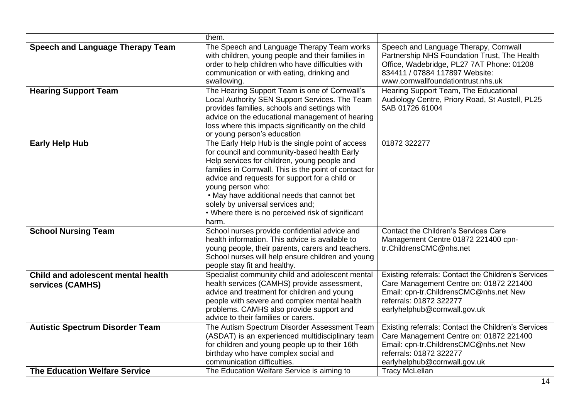|                                                        | them.                                                                                                                                                                                                                                                                                                                                                                                                                               |                                                                                                                                                                                                            |
|--------------------------------------------------------|-------------------------------------------------------------------------------------------------------------------------------------------------------------------------------------------------------------------------------------------------------------------------------------------------------------------------------------------------------------------------------------------------------------------------------------|------------------------------------------------------------------------------------------------------------------------------------------------------------------------------------------------------------|
| <b>Speech and Language Therapy Team</b>                | The Speech and Language Therapy Team works<br>with children, young people and their families in<br>order to help children who have difficulties with<br>communication or with eating, drinking and<br>swallowing.                                                                                                                                                                                                                   | Speech and Language Therapy, Cornwall<br>Partnership NHS Foundation Trust, The Health<br>Office, Wadebridge, PL27 7AT Phone: 01208<br>834411 / 07884 117897 Website:<br>www.cornwallfoundationtrust.nhs.uk |
| <b>Hearing Support Team</b>                            | The Hearing Support Team is one of Cornwall's<br>Local Authority SEN Support Services. The Team<br>provides families, schools and settings with<br>advice on the educational management of hearing<br>loss where this impacts significantly on the child<br>or young person's education                                                                                                                                             | Hearing Support Team, The Educational<br>Audiology Centre, Priory Road, St Austell, PL25<br>5AB 01726 61004                                                                                                |
| <b>Early Help Hub</b>                                  | The Early Help Hub is the single point of access<br>for council and community-based health Early<br>Help services for children, young people and<br>families in Cornwall. This is the point of contact for<br>advice and requests for support for a child or<br>young person who:<br>. May have additional needs that cannot bet<br>solely by universal services and;<br>• Where there is no perceived risk of significant<br>harm. | 01872 322277                                                                                                                                                                                               |
| <b>School Nursing Team</b>                             | School nurses provide confidential advice and<br>health information. This advice is available to<br>young people, their parents, carers and teachers.<br>School nurses will help ensure children and young<br>people stay fit and healthy.                                                                                                                                                                                          | <b>Contact the Children's Services Care</b><br>Management Centre 01872 221400 cpn-<br>tr.ChildrensCMC@nhs.net                                                                                              |
| Child and adolescent mental health<br>services (CAMHS) | Specialist community child and adolescent mental<br>health services (CAMHS) provide assessment,<br>advice and treatment for children and young<br>people with severe and complex mental health<br>problems. CAMHS also provide support and<br>advice to their families or carers.                                                                                                                                                   | Existing referrals: Contact the Children's Services<br>Care Management Centre on: 01872 221400<br>Email: cpn-tr.ChildrensCMC@nhs.net New<br>referrals: 01872 322277<br>earlyhelphub@cornwall.gov.uk        |
| <b>Autistic Spectrum Disorder Team</b>                 | The Autism Spectrum Disorder Assessment Team<br>(ASDAT) is an experienced multidisciplinary team<br>for children and young people up to their 16th<br>birthday who have complex social and<br>communication difficulties.                                                                                                                                                                                                           | Existing referrals: Contact the Children's Services<br>Care Management Centre on: 01872 221400<br>Email: cpn-tr.ChildrensCMC@nhs.net New<br>referrals: 01872 322277<br>earlyhelphub@cornwall.gov.uk        |
| <b>The Education Welfare Service</b>                   | The Education Welfare Service is aiming to                                                                                                                                                                                                                                                                                                                                                                                          | <b>Tracy McLellan</b>                                                                                                                                                                                      |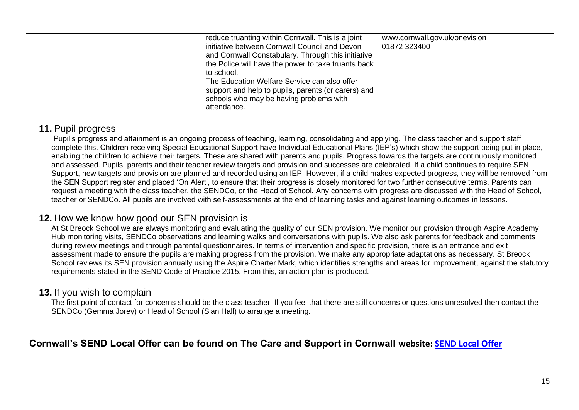| reduce truanting within Cornwall. This is a joint   | www.cornwall.gov.uk/onevision |
|-----------------------------------------------------|-------------------------------|
| initiative between Cornwall Council and Devon       | 01872 323400                  |
| and Cornwall Constabulary. Through this initiative  |                               |
| the Police will have the power to take truants back |                               |
| to school.                                          |                               |
| The Education Welfare Service can also offer        |                               |
| support and help to pupils, parents (or carers) and |                               |
| schools who may be having problems with             |                               |
| attendance.                                         |                               |

### **11.** Pupil progress

Pupil's progress and attainment is an ongoing process of teaching, learning, consolidating and applying. The class teacher and support staff complete this. Children receiving Special Educational Support have Individual Educational Plans (IEP's) which show the support being put in place, enabling the children to achieve their targets. These are shared with parents and pupils. Progress towards the targets are continuously monitored and assessed. Pupils, parents and their teacher review targets and provision and successes are celebrated. If a child continues to require SEN Support, new targets and provision are planned and recorded using an IEP. However, if a child makes expected progress, they will be removed from the SEN Support register and placed 'On Alert', to ensure that their progress is closely monitored for two further consecutive terms. Parents can request a meeting with the class teacher, the SENDCo, or the Head of School. Any concerns with progress are discussed with the Head of School, teacher or SENDCo. All pupils are involved with self-assessments at the end of learning tasks and against learning outcomes in lessons.

### **12.** How we know how good our SEN provision is

At St Breock School we are always monitoring and evaluating the quality of our SEN provision. We monitor our provision through Aspire Academy Hub monitoring visits, SENDCo observations and learning walks and conversations with pupils. We also ask parents for feedback and comments during review meetings and through parental questionnaires. In terms of intervention and specific provision, there is an entrance and exit assessment made to ensure the pupils are making progress from the provision. We make any appropriate adaptations as necessary. St Breock School reviews its SEN provision annually using the Aspire Charter Mark, which identifies strengths and areas for improvement, against the statutory requirements stated in the SEND Code of Practice 2015. From this, an action plan is produced.

### **13.** If you wish to complain

The first point of contact for concerns should be the class teacher. If you feel that there are still concerns or questions unresolved then contact the SENDCo (Gemma Jorey) or Head of School (Sian Hall) to arrange a meeting.

### **Cornwall's SEND Local Offer can be found on The Care and Support in Cornwall website: [SEND Local Offer](https://www.supportincornwall.org.uk/kb5/cornwall/directory/localoffer.page?localofferchannel=0)**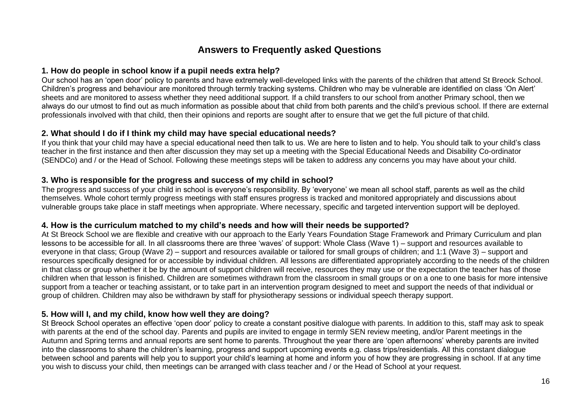### **Answers to Frequently asked Questions**

#### **1. How do people in school know if a pupil needs extra help?**

Our school has an 'open door' policy to parents and have extremely well-developed links with the parents of the children that attend St Breock School. Children's progress and behaviour are monitored through termly tracking systems. Children who may be vulnerable are identified on class 'On Alert' sheets and are monitored to assess whether they need additional support. If a child transfers to our school from another Primary school, then we always do our utmost to find out as much information as possible about that child from both parents and the child's previous school. If there are external professionals involved with that child, then their opinions and reports are sought after to ensure that we get the full picture of that child.

#### **2. What should I do if I think my child may have special educational needs?**

If you think that your child may have a special educational need then talk to us. We are here to listen and to help. You should talk to your child's class teacher in the first instance and then after discussion they may set up a meeting with the Special Educational Needs and Disability Co-ordinator (SENDCo) and / or the Head of School. Following these meetings steps will be taken to address any concerns you may have about your child.

#### **3. Who is responsible for the progress and success of my child in school?**

The progress and success of your child in school is everyone's responsibility. By 'everyone' we mean all school staff, parents as well as the child themselves. Whole cohort termly progress meetings with staff ensures progress is tracked and monitored appropriately and discussions about vulnerable groups take place in staff meetings when appropriate. Where necessary, specific and targeted intervention support will be deployed.

#### **4. How is the curriculum matched to my child's needs and how will their needs be supported?**

At St Breock School we are flexible and creative with our approach to the Early Years Foundation Stage Framework and Primary Curriculum and plan lessons to be accessible for all. In all classrooms there are three 'waves' of support: Whole Class (Wave 1) – support and resources available to everyone in that class; Group (Wave 2) – support and resources available or tailored for small groups of children; and 1:1 (Wave 3) – support and resources specifically designed for or accessible by individual children. All lessons are differentiated appropriately according to the needs of the children in that class or group whether it be by the amount of support children will receive, resources they may use or the expectation the teacher has of those children when that lesson is finished. Children are sometimes withdrawn from the classroom in small groups or on a one to one basis for more intensive support from a teacher or teaching assistant, or to take part in an intervention program designed to meet and support the needs of that individual or group of children. Children may also be withdrawn by staff for physiotherapy sessions or individual speech therapy support.

#### **5. How will I, and my child, know how well they are doing?**

St Breock School operates an effective 'open door' policy to create a constant positive dialogue with parents. In addition to this, staff may ask to speak with parents at the end of the school day. Parents and pupils are invited to engage in termly SEN review meeting, and/or Parent meetings in the Autumn and Spring terms and annual reports are sent home to parents. Throughout the year there are 'open afternoons' whereby parents are invited into the classrooms to share the children's learning, progress and support upcoming events e.g. class trips/residentials. All this constant dialogue between school and parents will help you to support your child's learning at home and inform you of how they are progressing in school. If at any time you wish to discuss your child, then meetings can be arranged with class teacher and / or the Head of School at your request.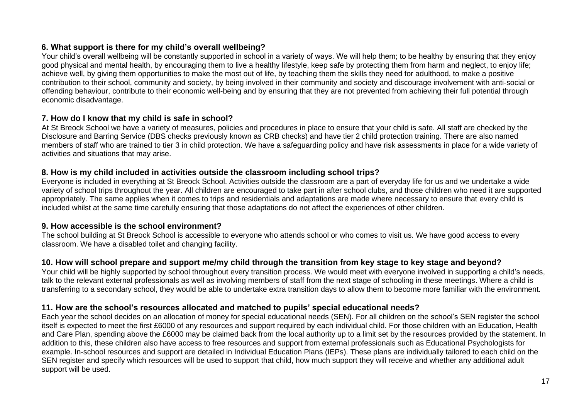#### **6. What support is there for my child's overall wellbeing?**

Your child's overall wellbeing will be constantly supported in school in a variety of ways. We will help them; to be healthy by ensuring that they enjoy good physical and mental health, by encouraging them to live a healthy lifestyle, keep safe by protecting them from harm and neglect, to enjoy life; achieve well, by giving them opportunities to make the most out of life, by teaching them the skills they need for adulthood, to make a positive contribution to their school, community and society, by being involved in their community and society and discourage involvement with anti-social or offending behaviour, contribute to their economic well-being and by ensuring that they are not prevented from achieving their full potential through economic disadvantage.

#### **7. How do I know that my child is safe in school?**

At St Breock School we have a variety of measures, policies and procedures in place to ensure that your child is safe. All staff are checked by the Disclosure and Barring Service (DBS checks previously known as CRB checks) and have tier 2 child protection training. There are also named members of staff who are trained to tier 3 in child protection. We have a safeguarding policy and have risk assessments in place for a wide variety of activities and situations that may arise.

#### **8. How is my child included in activities outside the classroom including school trips?**

Everyone is included in everything at St Breock School. Activities outside the classroom are a part of everyday life for us and we undertake a wide variety of school trips throughout the year. All children are encouraged to take part in after school clubs, and those children who need it are supported appropriately. The same applies when it comes to trips and residentials and adaptations are made where necessary to ensure that every child is included whilst at the same time carefully ensuring that those adaptations do not affect the experiences of other children.

#### **9. How accessible is the school environment?**

The school building at St Breock School is accessible to everyone who attends school or who comes to visit us. We have good access to every classroom. We have a disabled toilet and changing facility.

#### **10. How will school prepare and support me/my child through the transition from key stage to key stage and beyond?**

Your child will be highly supported by school throughout every transition process. We would meet with everyone involved in supporting a child's needs, talk to the relevant external professionals as well as involving members of staff from the next stage of schooling in these meetings. Where a child is transferring to a secondary school, they would be able to undertake extra transition days to allow them to become more familiar with the environment.

#### **11. How are the school's resources allocated and matched to pupils' special educational needs?**

Each year the school decides on an allocation of money for special educational needs (SEN). For all children on the school's SEN register the school itself is expected to meet the first £6000 of any resources and support required by each individual child. For those children with an Education, Health and Care Plan, spending above the £6000 may be claimed back from the local authority up to a limit set by the resources provided by the statement. In addition to this, these children also have access to free resources and support from external professionals such as Educational Psychologists for example. In-school resources and support are detailed in Individual Education Plans (IEPs). These plans are individually tailored to each child on the SEN register and specify which resources will be used to support that child, how much support they will receive and whether any additional adult support will be used.